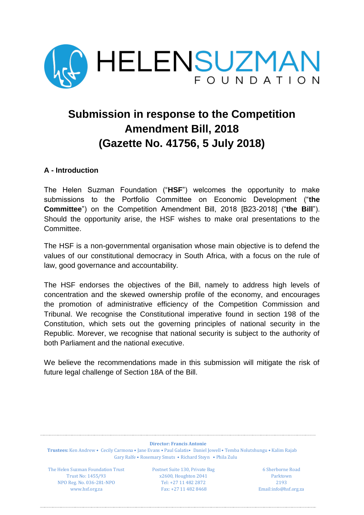

# **Submission in response to the Competition Amendment Bill, 2018 (Gazette No. 41756, 5 July 2018)**

# **A - Introduction**

The Helen Suzman Foundation ("**HSF**") welcomes the opportunity to make submissions to the Portfolio Committee on Economic Development ("**the Committee**") on the Competition Amendment Bill, 2018 [B23-2018] ("**the Bill**"). Should the opportunity arise, the HSF wishes to make oral presentations to the Committee.

The HSF is a non-governmental organisation whose main objective is to defend the values of our constitutional democracy in South Africa, with a focus on the rule of law, good governance and accountability.

The HSF endorses the objectives of the Bill, namely to address high levels of concentration and the skewed ownership profile of the economy, and encourages the promotion of administrative efficiency of the Competition Commission and Tribunal. We recognise the Constitutional imperative found in section 198 of the Constitution, which sets out the governing principles of national security in the Republic. Morever, we recognise that national security is subject to the authority of both Parliament and the national executive.

We believe the recommendations made in this submission will mitigate the risk of future legal challenge of Section 18A of the Bill.

**Director: Francis Antonie Trustees:** Ken Andrew • Cecily Carmona • Jane Evans • Paul Galatis• Daniel Jowell • Temba Nolutshungu • Kalim Rajab Gary Ralfe • Rosemary Smuts • Richard Steyn • Phila Zulu

The Helen Suzman Foundation Trust Postnet Suite 130, Private Bag 6 Sherborne Road NPO Reg. No. 036-281-NPO Tel: +27 11 482 2872 2193

Trust No: 1455/93 x2600, Houghton 2041 Parktown [www.hsf.org.za](http://www.hsf.org.za/) Fax: +27 11 482 8468 Email:info@hsf.org.za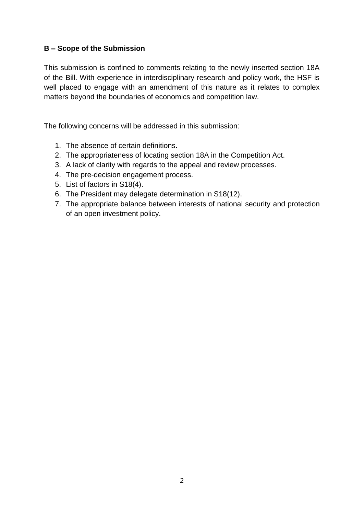# **B – Scope of the Submission**

This submission is confined to comments relating to the newly inserted section 18A of the Bill. With experience in interdisciplinary research and policy work, the HSF is well placed to engage with an amendment of this nature as it relates to complex matters beyond the boundaries of economics and competition law.

The following concerns will be addressed in this submission:

- 1. The absence of certain definitions.
- 2. The appropriateness of locating section 18A in the Competition Act.
- 3. A lack of clarity with regards to the appeal and review processes.
- 4. The pre-decision engagement process.
- 5. List of factors in S18(4).
- 6. The President may delegate determination in S18(12).
- 7. The appropriate balance between interests of national security and protection of an open investment policy.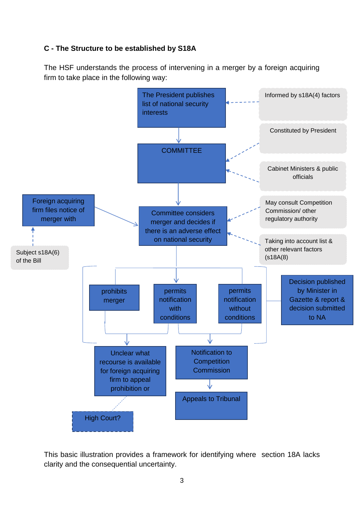# **C - The Structure to be established by S18A**

The HSF understands the process of intervening in a merger by a foreign acquiring firm to take place in the following way:



This basic illustration provides a framework for identifying where section 18A lacks clarity and the consequential uncertainty.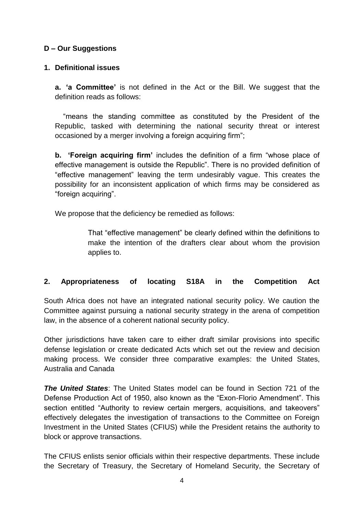# **D – Our Suggestions**

#### **1. Definitional issues**

**a. 'a Committee'** is not defined in the Act or the Bill. We suggest that the definition reads as follows:

 "means the standing committee as constituted by the President of the Republic, tasked with determining the national security threat or interest occasioned by a merger involving a foreign acquiring firm";

**b. 'Foreign acquiring firm'** includes the definition of a firm "whose place of effective management is outside the Republic". There is no provided definition of "effective management" leaving the term undesirably vague. This creates the possibility for an inconsistent application of which firms may be considered as "foreign acquiring".

We propose that the deficiency be remedied as follows:

That "effective management" be clearly defined within the definitions to make the intention of the drafters clear about whom the provision applies to.

#### **2. Appropriateness of locating S18A in the Competition Act**

South Africa does not have an integrated national security policy. We caution the Committee against pursuing a national security strategy in the arena of competition law, in the absence of a coherent national security policy.

Other jurisdictions have taken care to either draft similar provisions into specific defense legislation or create dedicated Acts which set out the review and decision making process. We consider three comparative examples: the United States, Australia and Canada

*The United States*: The United States model can be found in Section 721 of the Defense Production Act of 1950, also known as the "Exon-Florio Amendment". This section entitled "Authority to review certain mergers, acquisitions, and takeovers" effectively delegates the investigation of transactions to the Committee on Foreign Investment in the United States (CFIUS) while the President retains the authority to block or approve transactions.

The CFIUS enlists senior officials within their respective departments. These include the Secretary of Treasury, the Secretary of Homeland Security, the Secretary of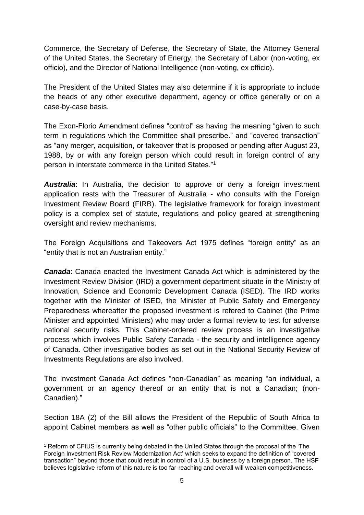Commerce, the Secretary of Defense, the Secretary of State, the Attorney General of the United States, the Secretary of Energy, the Secretary of Labor (non-voting, ex officio), and the Director of National Intelligence (non-voting, ex officio).

The President of the United States may also determine if it is appropriate to include the heads of any other executive department, agency or office generally or on a case-by-case basis.

The Exon-Florio Amendment defines "control" as having the meaning "given to such term in regulations which the Committee shall prescribe." and "covered transaction" as "any merger, acquisition, or takeover that is proposed or pending after August 23, 1988, by or with any foreign person which could result in foreign control of any person in interstate commerce in the United States."<sup>1</sup>

*Australia*: In Australia, the decision to approve or deny a foreign investment application rests with the Treasurer of Australia - who consults with the Foreign Investment Review Board (FIRB). The legislative framework for foreign investment policy is a complex set of statute, regulations and policy geared at strengthening oversight and review mechanisms.

The Foreign Acquisitions and Takeovers Act 1975 defines "foreign entity" as an "entity that is not an Australian entity."

*Canada*: Canada enacted the Investment Canada Act which is administered by the Investment Review Division (IRD) a government department situate in the Ministry of Innovation, Science and Economic Development Canada (ISED). The IRD works together with the Minister of ISED, the Minister of Public Safety and Emergency Preparedness whereafter the proposed investment is refered to Cabinet (the Prime Minister and appointed Ministers) who may order a formal review to test for adverse national security risks. This Cabinet-ordered review process is an investigative process which involves Public Safety Canada - the security and intelligence agency of Canada. Other investigative bodies as set out in the National Security Review of Investments Regulations are also involved.

The Investment Canada Act defines "non-Canadian" as meaning "an individual, a government or an agency thereof or an entity that is not a Canadian; (non-Canadien)."

Section 18A (2) of the Bill allows the President of the Republic of South Africa to appoint Cabinet members as well as "other public officials" to the Committee. Given

<sup>-</sup><sup>1</sup> Reform of CFIUS is currently being debated in the United States through the proposal of the 'The Foreign Investment Risk Review Modernization Act' which seeks to expand the definition of "covered transaction" beyond those that could result in control of a U.S. business by a foreign person. The HSF believes legislative reform of this nature is too far-reaching and overall will weaken competitiveness.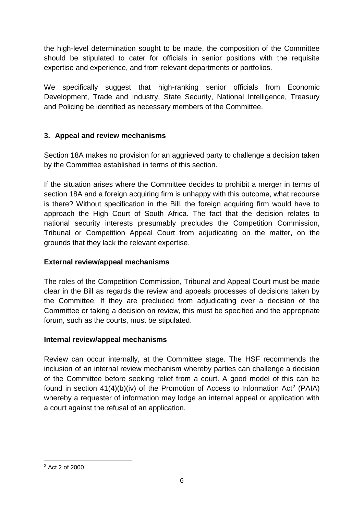the high-level determination sought to be made, the composition of the Committee should be stipulated to cater for officials in senior positions with the requisite expertise and experience, and from relevant departments or portfolios.

We specifically suggest that high-ranking senior officials from Economic Development, Trade and Industry, State Security, National Intelligence, Treasury and Policing be identified as necessary members of the Committee.

# **3. Appeal and review mechanisms**

Section 18A makes no provision for an aggrieved party to challenge a decision taken by the Committee established in terms of this section.

If the situation arises where the Committee decides to prohibit a merger in terms of section 18A and a foreign acquiring firm is unhappy with this outcome, what recourse is there? Without specification in the Bill, the foreign acquiring firm would have to approach the High Court of South Africa. The fact that the decision relates to national security interests presumably precludes the Competition Commission, Tribunal or Competition Appeal Court from adjudicating on the matter, on the grounds that they lack the relevant expertise.

### **External review/appeal mechanisms**

The roles of the Competition Commission, Tribunal and Appeal Court must be made clear in the Bill as regards the review and appeals processes of decisions taken by the Committee. If they are precluded from adjudicating over a decision of the Committee or taking a decision on review, this must be specified and the appropriate forum, such as the courts, must be stipulated.

#### **Internal review/appeal mechanisms**

Review can occur internally, at the Committee stage. The HSF recommends the inclusion of an internal review mechanism whereby parties can challenge a decision of the Committee before seeking relief from a court. A good model of this can be found in section  $41(4)(b)(iv)$  of the Promotion of Access to Information Act<sup>2</sup> (PAIA) whereby a requester of information may lodge an internal appeal or application with a court against the refusal of an application.

-

<sup>2</sup> Act 2 of 2000.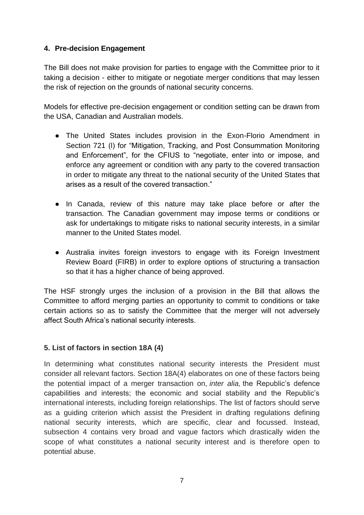# **4. Pre-decision Engagement**

The Bill does not make provision for parties to engage with the Committee prior to it taking a decision - either to mitigate or negotiate merger conditions that may lessen the risk of rejection on the grounds of national security concerns.

Models for effective pre-decision engagement or condition setting can be drawn from the USA, Canadian and Australian models.

- The United States includes provision in the Exon-Florio Amendment in Section 721 (l) for "Mitigation, Tracking, and Post Consummation Monitoring and Enforcement", for the CFIUS to "negotiate, enter into or impose, and enforce any agreement or condition with any party to the covered transaction in order to mitigate any threat to the national security of the United States that arises as a result of the covered transaction."
- In Canada, review of this nature may take place before or after the transaction. The Canadian government may impose terms or conditions or ask for undertakings to mitigate risks to national security interests, in a similar manner to the United States model.
- Australia invites foreign investors to engage with its Foreign Investment Review Board (FIRB) in order to explore options of structuring a transaction so that it has a higher chance of being approved.

The HSF strongly urges the inclusion of a provision in the Bill that allows the Committee to afford merging parties an opportunity to commit to conditions or take certain actions so as to satisfy the Committee that the merger will not adversely affect South Africa's national security interests.

#### **5. List of factors in section 18A (4)**

In determining what constitutes national security interests the President must consider all relevant factors. Section 18A(4) elaborates on one of these factors being the potential impact of a merger transaction on, *inter alia,* the Republic's defence capabilities and interests; the economic and social stability and the Republic's international interests, including foreign relationships. The list of factors should serve as a guiding criterion which assist the President in drafting regulations defining national security interests, which are specific, clear and focussed. Instead, subsection 4 contains very broad and vague factors which drastically widen the scope of what constitutes a national security interest and is therefore open to potential abuse.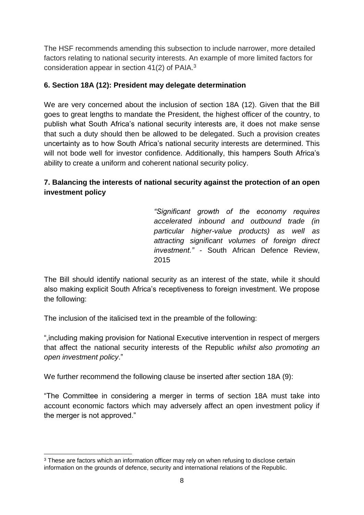The HSF recommends amending this subsection to include narrower, more detailed factors relating to national security interests. An example of more limited factors for consideration appear in section 41(2) of PAIA.<sup>3</sup>

# **6. Section 18A (12): President may delegate determination**

We are very concerned about the inclusion of section 18A (12). Given that the Bill goes to great lengths to mandate the President, the highest officer of the country, to publish what South Africa's national security interests are, it does not make sense that such a duty should then be allowed to be delegated. Such a provision creates uncertainty as to how South Africa's national security interests are determined. This will not bode well for investor confidence. Additionally, this hampers South Africa's ability to create a uniform and coherent national security policy.

# **7. Balancing the interests of national security against the protection of an open investment policy**

*"Significant growth of the economy requires accelerated inbound and outbound trade (in particular higher-value products) as well as attracting significant volumes of foreign direct investment." -* South African Defence Review, 2015

The Bill should identify national security as an interest of the state, while it should also making explicit South Africa's receptiveness to foreign investment. We propose the following:

The inclusion of the italicised text in the preamble of the following:

",including making provision for National Executive intervention in respect of mergers that affect the national security interests of the Republic *whilst also promoting an open investment policy*."

We further recommend the following clause be inserted after section 18A (9):

"The Committee in considering a merger in terms of section 18A must take into account economic factors which may adversely affect an open investment policy if the merger is not approved."

<sup>-</sup><sup>3</sup> These are factors which an information officer may rely on when refusing to disclose certain information on the grounds of defence, security and international relations of the Republic.